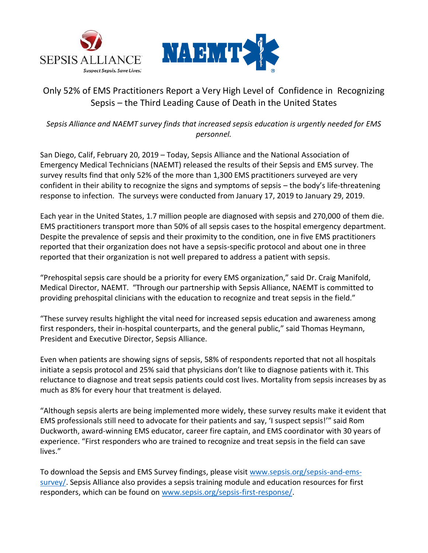



# Only 52% of EMS Practitioners Report a Very High Level of Confidence in Recognizing Sepsis – the Third Leading Cause of Death in the United States

## *Sepsis Alliance and NAEMT survey finds that increased sepsis education is urgently needed for EMS personnel.*

San Diego, Calif, February 20, 2019 – Today, Sepsis Alliance and the National Association of Emergency Medical Technicians (NAEMT) released the results of their Sepsis and EMS survey. The survey results find that only 52% of the more than 1,300 EMS practitioners surveyed are very confident in their ability to recognize the signs and symptoms of sepsis – the body's life-threatening response to infection. The surveys were conducted from January 17, 2019 to January 29, 2019.

Each year in the United States, 1.7 million people are diagnosed with sepsis and 270,000 of them die. EMS practitioners transport more than 50% of all sepsis cases to the hospital emergency department. Despite the prevalence of sepsis and their proximity to the condition, one in five EMS practitioners reported that their organization does not have a sepsis-specific protocol and about one in three reported that their organization is not well prepared to address a patient with sepsis.

"Prehospital sepsis care should be a priority for every EMS organization," said Dr. Craig Manifold, Medical Director, NAEMT. "Through our partnership with Sepsis Alliance, NAEMT is committed to providing prehospital clinicians with the education to recognize and treat sepsis in the field."

"These survey results highlight the vital need for increased sepsis education and awareness among first responders, their in-hospital counterparts, and the general public," said Thomas Heymann, President and Executive Director, Sepsis Alliance.

Even when patients are showing signs of sepsis, 58% of respondents reported that not all hospitals initiate a sepsis protocol and 25% said that physicians don't like to diagnose patients with it. This reluctance to diagnose and treat sepsis patients could cost lives. Mortality from sepsis increases by as much as 8% for every hour that treatment is delayed.

"Although sepsis alerts are being implemented more widely, these survey results make it evident that EMS professionals still need to advocate for their patients and say, 'I suspect sepsis!'" said Rom Duckworth, award-winning EMS educator, career fire captain, and EMS coordinator with 30 years of experience. "First responders who are trained to recognize and treat sepsis in the field can save lives."

To download the Sepsis and EMS Survey findings, please visit [www.sepsis.org/sepsis-and-ems](https://www.sepsis.org/sepsis-and-ems-survey/)[survey/.](https://www.sepsis.org/sepsis-and-ems-survey/) Sepsis Alliance also provides a sepsis training module and education resources for first responders, which can be found on [www.sepsis.org/sepsis-first-response/.](http://www.sepsis.org/sepsis-first-response/)